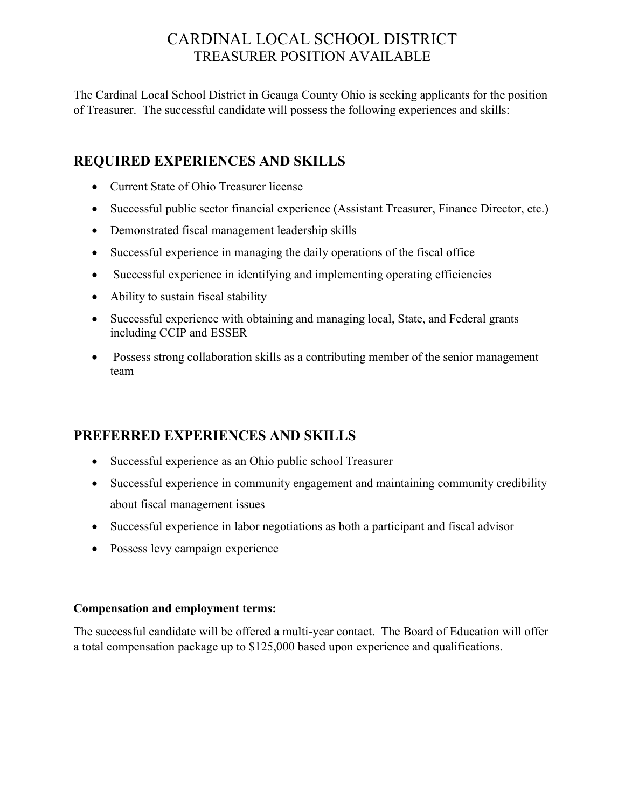# CARDINAL LOCAL SCHOOL DISTRICT TREASURER POSITION AVAILABLE

The Cardinal Local School District in Geauga County Ohio is seeking applicants for the position of Treasurer. The successful candidate will possess the following experiences and skills:

## **REQUIRED EXPERIENCES AND SKILLS**

- Current State of Ohio Treasurer license
- Successful public sector financial experience (Assistant Treasurer, Finance Director, etc.)
- Demonstrated fiscal management leadership skills
- Successful experience in managing the daily operations of the fiscal office
- Successful experience in identifying and implementing operating efficiencies
- Ability to sustain fiscal stability
- Successful experience with obtaining and managing local, State, and Federal grants including CCIP and ESSER
- Possess strong collaboration skills as a contributing member of the senior management team

### **PREFERRED EXPERIENCES AND SKILLS**

- Successful experience as an Ohio public school Treasurer
- Successful experience in community engagement and maintaining community credibility about fiscal management issues
- Successful experience in labor negotiations as both a participant and fiscal advisor
- Possess levy campaign experience

#### **Compensation and employment terms:**

The successful candidate will be offered a multi-year contact. The Board of Education will offer a total compensation package up to \$125,000 based upon experience and qualifications.